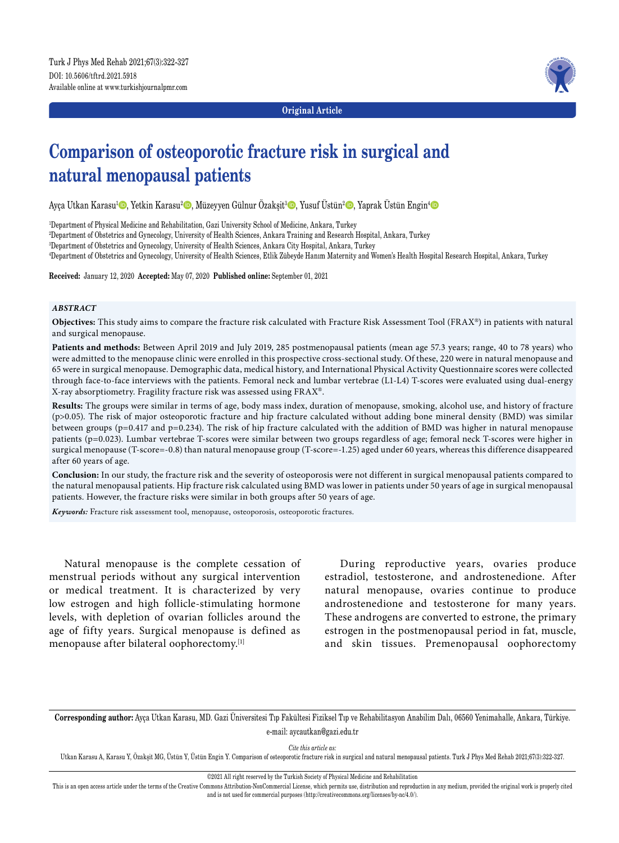

**Original Article**

# **Comparison of osteoporotic fracture risk in surgical and natural menopausal patients**

Ayça Utkan Karasu<del>'©</del>, Yetkin Karasu<del>'©</del>, Müzeyyen Gülnur Özakşit<sup>3</sup>©, Yusuf Üstün<del>'©</del>, Yaprak Üstün Engin<del>'</del>©

1 Department of Physical Medicine and Rehabilitation, Gazi University School of Medicine, Ankara, Turkey

2 Department of Obstetrics and Gynecology, University of Health Sciences, Ankara Training and Research Hospital, Ankara, Turkey

3 Department of Obstetrics and Gynecology, University of Health Sciences, Ankara City Hospital, Ankara, Turkey

4 Department of Obstetrics and Gynecology, University of Health Sciences, Etlik Zübeyde Hanım Maternity and Women's Health Hospital Research Hospital, Ankara, Turkey

**Received:** January 12, 2020 **Accepted:** May 07, 2020 **Published online:** September 01, 2021

#### *ABSTRACT*

**Objectives:** This study aims to compare the fracture risk calculated with Fracture Risk Assessment Tool (FRAX®) in patients with natural and surgical menopause.

**Patients and methods:** Between April 2019 and July 2019, 285 postmenopausal patients (mean age 57.3 years; range, 40 to 78 years) who were admitted to the menopause clinic were enrolled in this prospective cross-sectional study. Of these, 220 were in natural menopause and 65 were in surgical menopause. Demographic data, medical history, and International Physical Activity Questionnaire scores were collected through face-to-face interviews with the patients. Femoral neck and lumbar vertebrae (L1-L4) T-scores were evaluated using dual-energy X-ray absorptiometry. Fragility fracture risk was assessed using FRAX®.

**Results:** The groups were similar in terms of age, body mass index, duration of menopause, smoking, alcohol use, and history of fracture (p>0.05). The risk of major osteoporotic fracture and hip fracture calculated without adding bone mineral density (BMD) was similar between groups (p=0.417 and p=0.234). The risk of hip fracture calculated with the addition of BMD was higher in natural menopause patients (p=0.023). Lumbar vertebrae T-scores were similar between two groups regardless of age; femoral neck T-scores were higher in surgical menopause (T-score=-0.8) than natural menopause group (T-score=-1.25) aged under 60 years, whereas this difference disappeared after 60 years of age.

**Conclusion:** In our study, the fracture risk and the severity of osteoporosis were not different in surgical menopausal patients compared to the natural menopausal patients. Hip fracture risk calculated using BMD was lower in patients under 50 years of age in surgical menopausal patients. However, the fracture risks were similar in both groups after 50 years of age.

*Keywords:* Fracture risk assessment tool, menopause, osteoporosis, osteoporotic fractures.

Natural menopause is the complete cessation of menstrual periods without any surgical intervention or medical treatment. It is characterized by very low estrogen and high follicle-stimulating hormone levels, with depletion of ovarian follicles around the age of fifty years. Surgical menopause is defined as menopause after bilateral oophorectomy.[1]

During reproductive years, ovaries produce estradiol, testosterone, and androstenedione. After natural menopause, ovaries continue to produce androstenedione and testosterone for many years. These androgens are converted to estrone, the primary estrogen in the postmenopausal period in fat, muscle, and skin tissues. Premenopausal oophorectomy

**Corresponding author:** Ayça Utkan Karasu, MD. Gazi Üniversitesi Tıp Fakültesi Fiziksel Tıp ve Rehabilitasyon Anabilim Dalı, 06560 Yenimahalle, Ankara, Türkiye. e-mail: aycautkan@gazi.edu.tr

*Cite this article as:*

Utkan Karasu A, Karasu Y, Özakşit MG, Üstün Y, Üstün Engin Y. Comparison of osteoporotic fracture risk in surgical and natural menopausal patients. Turk J Phys Med Rehab 2021;67(3):322-327.

©2021 All right reserved by the Turkish Society of Physical Medicine and Rehabilitation

This is an open access article under the terms of the Creative Commons Attribution-NonCommercial License, which permits use, distribution and reproduction in any medium, provided the original work is properly cited and is not used for commercial purposes (http://creativecommons.org/licenses/by-nc/4.0/).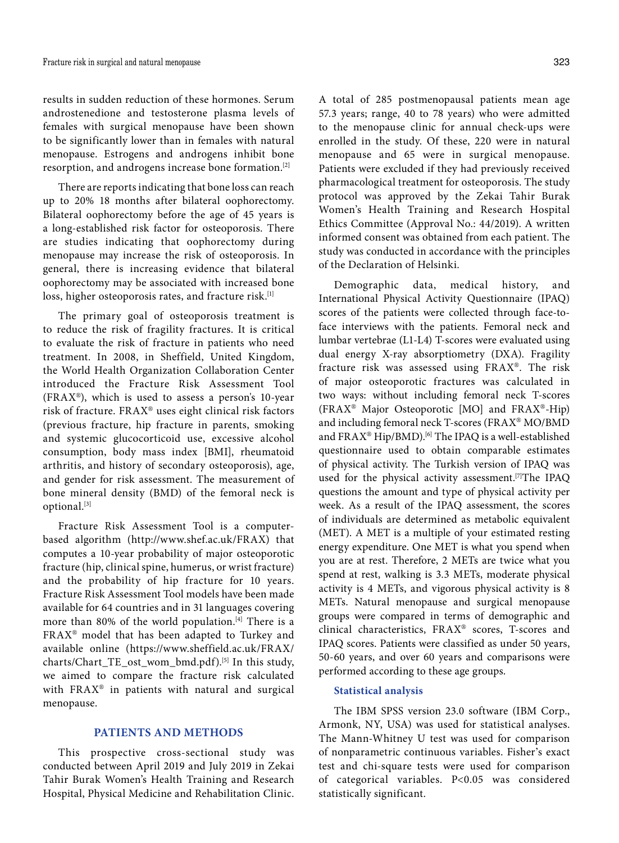results in sudden reduction of these hormones. Serum androstenedione and testosterone plasma levels of females with surgical menopause have been shown to be significantly lower than in females with natural menopause. Estrogens and androgens inhibit bone resorption, and androgens increase bone formation.[2]

There are reports indicating that bone loss can reach up to 20% 18 months after bilateral oophorectomy. Bilateral oophorectomy before the age of 45 years is a long-established risk factor for osteoporosis. There are studies indicating that oophorectomy during menopause may increase the risk of osteoporosis. In general, there is increasing evidence that bilateral oophorectomy may be associated with increased bone loss, higher osteoporosis rates, and fracture risk.<sup>[1]</sup>

The primary goal of osteoporosis treatment is to reduce the risk of fragility fractures. It is critical to evaluate the risk of fracture in patients who need treatment. In 2008, in Sheffield, United Kingdom, the World Health Organization Collaboration Center introduced the Fracture Risk Assessment Tool (FRAX®), which is used to assess a person's 10-year risk of fracture. FRAX® uses eight clinical risk factors (previous fracture, hip fracture in parents, smoking and systemic glucocorticoid use, excessive alcohol consumption, body mass index [BMI], rheumatoid arthritis, and history of secondary osteoporosis), age, and gender for risk assessment. The measurement of bone mineral density (BMD) of the femoral neck is optional.[3]

Fracture Risk Assessment Tool is a computerbased algorithm (http://www.shef.ac.uk/FRAX) that computes a 10-year probability of major osteoporotic fracture (hip, clinical spine, humerus, or wrist fracture) and the probability of hip fracture for 10 years. Fracture Risk Assessment Tool models have been made available for 64 countries and in 31 languages covering more than 80% of the world population.<sup>[4]</sup> There is a FRAX® model that has been adapted to Turkey and available online (https://www.sheffield.ac.uk/FRAX/ charts/Chart\_TE\_ost\_wom\_bmd.pdf).[5] In this study, we aimed to compare the fracture risk calculated with FRAX® in patients with natural and surgical menopause.

## **PATIENTS AND METHODS**

This prospective cross-sectional study was conducted between April 2019 and July 2019 in Zekai Tahir Burak Women's Health Training and Research Hospital, Physical Medicine and Rehabilitation Clinic. A total of 285 postmenopausal patients mean age 57.3 years; range, 40 to 78 years) who were admitted to the menopause clinic for annual check-ups were enrolled in the study. Of these, 220 were in natural menopause and 65 were in surgical menopause. Patients were excluded if they had previously received pharmacological treatment for osteoporosis. The study protocol was approved by the Zekai Tahir Burak Women's Health Training and Research Hospital Ethics Committee (Approval No.: 44/2019). A written informed consent was obtained from each patient. The study was conducted in accordance with the principles of the Declaration of Helsinki.

Demographic data, medical history, and International Physical Activity Questionnaire (IPAQ) scores of the patients were collected through face-toface interviews with the patients. Femoral neck and lumbar vertebrae (L1-L4) T-scores were evaluated using dual energy X-ray absorptiometry (DXA). Fragility fracture risk was assessed using FRAX®. The risk of major osteoporotic fractures was calculated in two ways: without including femoral neck T-scores (FRAX® Major Osteoporotic [MO] and FRAX®-Hip) and including femoral neck T-scores (FRAX® MO/BMD and FRAX® Hip/BMD).<sup>[6]</sup> The IPAQ is a well-established questionnaire used to obtain comparable estimates of physical activity. The Turkish version of IPAQ was used for the physical activity assessment.<sup>[7]</sup>The IPAQ questions the amount and type of physical activity per week. As a result of the IPAQ assessment, the scores of individuals are determined as metabolic equivalent (MET). A MET is a multiple of your estimated resting energy expenditure. One MET is what you spend when you are at rest. Therefore, 2 METs are twice what you spend at rest, walking is 3.3 METs, moderate physical activity is 4 METs, and vigorous physical activity is 8 METs. Natural menopause and surgical menopause groups were compared in terms of demographic and clinical characteristics, FRAX® scores, T-scores and IPAQ scores. Patients were classified as under 50 years, 50-60 years, and over 60 years and comparisons were performed according to these age groups.

# **Statistical analysis**

The IBM SPSS version 23.0 software (IBM Corp., Armonk, NY, USA) was used for statistical analyses. The Mann-Whitney U test was used for comparison of nonparametric continuous variables. Fisher's exact test and chi-square tests were used for comparison of categorical variables. P<0.05 was considered statistically significant.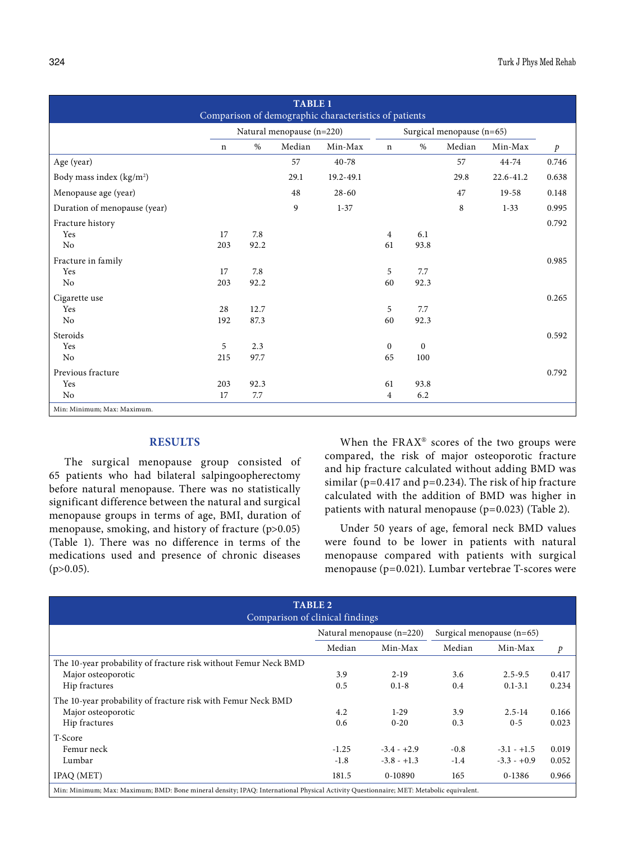| <b>TABLE 1</b><br>Comparison of demographic characteristics of patients |                           |      |        |                           |                |          |        |           |               |
|-------------------------------------------------------------------------|---------------------------|------|--------|---------------------------|----------------|----------|--------|-----------|---------------|
|                                                                         | Natural menopause (n=220) |      |        | Surgical menopause (n=65) |                |          |        |           |               |
|                                                                         | n                         | $\%$ | Median | Min-Max                   | $\mathbf n$    | $\%$     | Median | Min-Max   | $\mathcal{P}$ |
| Age (year)                                                              |                           |      | 57     | 40-78                     |                |          | 57     | 44-74     | 0.746         |
| Body mass index (kg/m <sup>2</sup> )                                    |                           |      | 29.1   | 19.2-49.1                 |                |          | 29.8   | 22.6-41.2 | 0.638         |
| Menopause age (year)                                                    |                           |      | 48     | $28 - 60$                 |                |          | 47     | $19 - 58$ | 0.148         |
| Duration of menopause (year)                                            |                           |      | 9      | $1 - 37$                  |                |          | 8      | $1 - 33$  | 0.995         |
| Fracture history                                                        |                           |      |        |                           |                |          |        |           | 0.792         |
| Yes                                                                     | 17                        | 7.8  |        |                           | $\overline{4}$ | 6.1      |        |           |               |
| No                                                                      | 203                       | 92.2 |        |                           | 61             | 93.8     |        |           |               |
| Fracture in family                                                      |                           |      |        |                           |                |          |        |           | 0.985         |
| Yes                                                                     | 17                        | 7.8  |        |                           | 5              | 7.7      |        |           |               |
| No                                                                      | 203                       | 92.2 |        |                           | 60             | 92.3     |        |           |               |
| Cigarette use                                                           |                           |      |        |                           |                |          |        |           | 0.265         |
| Yes                                                                     | 28                        | 12.7 |        |                           | 5              | 7.7      |        |           |               |
| No                                                                      | 192                       | 87.3 |        |                           | 60             | 92.3     |        |           |               |
| Steroids                                                                |                           |      |        |                           |                |          |        |           | 0.592         |
| Yes                                                                     | 5                         | 2.3  |        |                           | $\mathbf{0}$   | $\Omega$ |        |           |               |
| No                                                                      | 215                       | 97.7 |        |                           | 65             | 100      |        |           |               |
| Previous fracture                                                       |                           |      |        |                           |                |          |        |           | 0.792         |
| Yes                                                                     | 203                       | 92.3 |        |                           | 61             | 93.8     |        |           |               |
| No                                                                      | 17                        | 7.7  |        |                           | $\overline{4}$ | 6.2      |        |           |               |
| Min: Minimum; Max: Maximum.                                             |                           |      |        |                           |                |          |        |           |               |

# **RESULTS**

The surgical menopause group consisted of 65 patients who had bilateral salpingoopherectomy before natural menopause. There was no statistically significant difference between the natural and surgical menopause groups in terms of age, BMI, duration of menopause, smoking, and history of fracture (p>0.05) (Table 1). There was no difference in terms of the medications used and presence of chronic diseases  $(p>0.05)$ .

When the  $FRAX^{\circ}$  scores of the two groups were compared, the risk of major osteoporotic fracture and hip fracture calculated without adding BMD was similar ( $p=0.417$  and  $p=0.234$ ). The risk of hip fracture calculated with the addition of BMD was higher in patients with natural menopause (p=0.023) (Table 2).

Under 50 years of age, femoral neck BMD values were found to be lower in patients with natural menopause compared with patients with surgical menopause (p=0.021). Lumbar vertebrae T-scores were

| <b>TABLE 2</b><br>Comparison of clinical findings                                                                                      |                           |               |                             |               |       |  |  |
|----------------------------------------------------------------------------------------------------------------------------------------|---------------------------|---------------|-----------------------------|---------------|-------|--|--|
|                                                                                                                                        | Natural menopause (n=220) |               | Surgical menopause $(n=65)$ |               |       |  |  |
|                                                                                                                                        | Median                    | Min-Max       | Median                      | Min-Max       | p     |  |  |
| The 10-year probability of fracture risk without Femur Neck BMD                                                                        |                           |               |                             |               |       |  |  |
| Major osteoporotic                                                                                                                     | 3.9                       | $2 - 19$      | 3.6                         | $2.5 - 9.5$   | 0.417 |  |  |
| Hip fractures                                                                                                                          | 0.5                       | $0.1 - 8$     | 0.4                         | $0.1 - 3.1$   | 0.234 |  |  |
| The 10-year probability of fracture risk with Femur Neck BMD                                                                           |                           |               |                             |               |       |  |  |
| Major osteoporotic                                                                                                                     | 4.2                       | $1-29$        | 3.9                         | $2.5 - 14$    | 0.166 |  |  |
| Hip fractures                                                                                                                          | 0.6                       | $0 - 20$      | 0.3                         | $0 - 5$       | 0.023 |  |  |
| T-Score                                                                                                                                |                           |               |                             |               |       |  |  |
| Femur neck                                                                                                                             | $-1.25$                   | $-3.4 - +2.9$ | $-0.8$                      | $-3.1 - +1.5$ | 0.019 |  |  |
| Lumbar                                                                                                                                 | $-1.8$                    | $-3.8 - +1.3$ | $-1.4$                      | $-3.3 - +0.9$ | 0.052 |  |  |
| IPAQ (MET)                                                                                                                             | 181.5                     | 0-10890       | 165                         | 0-1386        | 0.966 |  |  |
| Min: Minimum; Max: Maximum; BMD: Bone mineral density; IPAQ: International Physical Activity Questionnaire; MET: Metabolic equivalent. |                           |               |                             |               |       |  |  |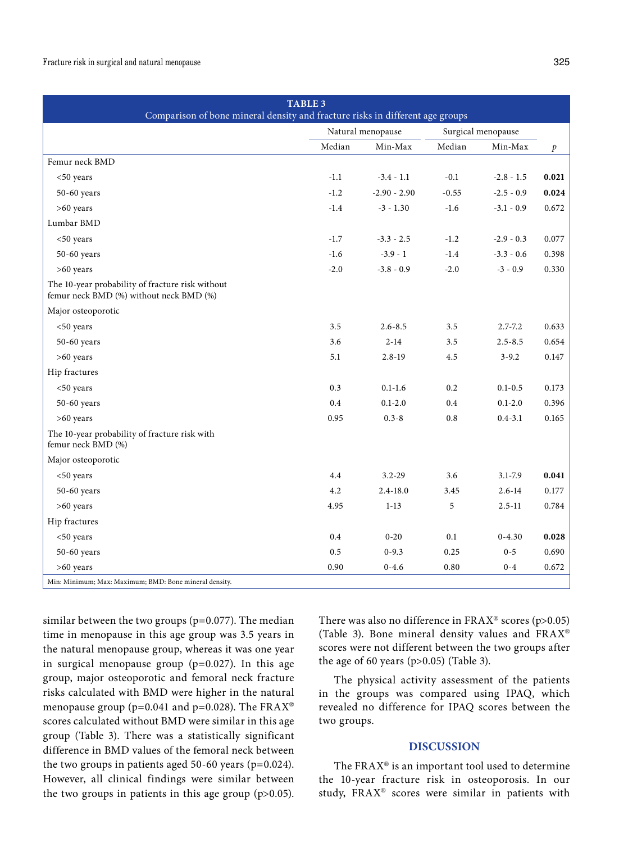#### Fracture risk in surgical and natural menopause 325

| <b>TABLE 3</b><br>Comparison of bone mineral density and fracture risks in different age groups |                   |                |                    |              |                  |  |
|-------------------------------------------------------------------------------------------------|-------------------|----------------|--------------------|--------------|------------------|--|
|                                                                                                 | Natural menopause |                | Surgical menopause |              |                  |  |
|                                                                                                 | Median            | Min-Max        | Median             | Min-Max      | $\boldsymbol{p}$ |  |
| Femur neck BMD                                                                                  |                   |                |                    |              |                  |  |
| $<$ 50 years                                                                                    | $-1.1$            | $-3.4 - 1.1$   | $-0.1$             | $-2.8 - 1.5$ | 0.021            |  |
| 50-60 years                                                                                     | $-1.2$            | $-2.90 - 2.90$ | $-0.55$            | $-2.5 - 0.9$ | 0.024            |  |
| $>60$ years                                                                                     | $-1.4$            | $-3 - 1.30$    | $-1.6$             | $-3.1 - 0.9$ | 0.672            |  |
| Lumbar BMD                                                                                      |                   |                |                    |              |                  |  |
| <50 years                                                                                       | $-1.7$            | $-3.3 - 2.5$   | $-1.2$             | $-2.9 - 0.3$ | 0.077            |  |
| 50-60 years                                                                                     | $-1.6$            | $-3.9 - 1$     | $-1.4$             | $-3.3 - 0.6$ | 0.398            |  |
| $>60$ years                                                                                     | $-2.0$            | $-3.8 - 0.9$   | $-2.0$             | $-3 - 0.9$   | 0.330            |  |
| The 10-year probability of fracture risk without<br>femur neck BMD (%) without neck BMD (%)     |                   |                |                    |              |                  |  |
| Major osteoporotic                                                                              |                   |                |                    |              |                  |  |
| <50 years                                                                                       | 3.5               | $2.6 - 8.5$    | 3.5                | $2.7 - 7.2$  | 0.633            |  |
| 50-60 years                                                                                     | 3.6               | $2 - 14$       | 3.5                | $2.5 - 8.5$  | 0.654            |  |
| >60 years                                                                                       | 5.1               | $2.8 - 19$     | 4.5                | $3 - 9.2$    | 0.147            |  |
| Hip fractures                                                                                   |                   |                |                    |              |                  |  |
| <50 years                                                                                       | 0.3               | $0.1 - 1.6$    | 0.2                | $0.1 - 0.5$  | 0.173            |  |
| 50-60 years                                                                                     | 0.4               | $0.1 - 2.0$    | 0.4                | $0.1 - 2.0$  | 0.396            |  |
| >60 years                                                                                       | 0.95              | $0.3 - 8$      | 0.8                | $0.4 - 3.1$  | 0.165            |  |
| The 10-year probability of fracture risk with<br>femur neck BMD (%)                             |                   |                |                    |              |                  |  |
| Major osteoporotic                                                                              |                   |                |                    |              |                  |  |
| $50$ years                                                                                      | 4.4               | $3.2 - 29$     | 3.6                | $3.1 - 7.9$  | 0.041            |  |
| $50-60$ years                                                                                   | 4.2               | $2.4 - 18.0$   | 3.45               | $2.6 - 14$   | 0.177            |  |
| >60 years                                                                                       | 4.95              | $1 - 13$       | 5                  | $2.5 - 11$   | 0.784            |  |
| Hip fractures                                                                                   |                   |                |                    |              |                  |  |
| $<$ 50 years                                                                                    | 0.4               | $0 - 20$       | 0.1                | $0 - 4.30$   | 0.028            |  |
| 50-60 years                                                                                     | 0.5               | $0 - 9.3$      | 0.25               | $0 - 5$      | 0.690            |  |
| $>60$ years                                                                                     | 0.90              | $0 - 4.6$      | 0.80               | $0 - 4$      | 0.672            |  |
| Min: Minimum; Max: Maximum; BMD: Bone mineral density.                                          |                   |                |                    |              |                  |  |

similar between the two groups (p=0.077). The median time in menopause in this age group was 3.5 years in the natural menopause group, whereas it was one year in surgical menopause group  $(p=0.027)$ . In this age group, major osteoporotic and femoral neck fracture risks calculated with BMD were higher in the natural menopause group ( $p=0.041$  and  $p=0.028$ ). The FRAX<sup>®</sup> scores calculated without BMD were similar in this age group (Table 3). There was a statistically significant difference in BMD values of the femoral neck between the two groups in patients aged 50-60 years (p=0.024). However, all clinical findings were similar between the two groups in patients in this age group  $(p>0.05)$ . There was also no difference in  $FRAX^{\circ}$  scores (p>0.05) (Table 3). Bone mineral density values and FRAX® scores were not different between the two groups after the age of 60 years ( $p>0.05$ ) (Table 3).

The physical activity assessment of the patients in the groups was compared using IPAQ, which revealed no difference for IPAQ scores between the two groups.

# **DISCUSSION**

The FRAX® is an important tool used to determine the 10-year fracture risk in osteoporosis. In our study, FRAX® scores were similar in patients with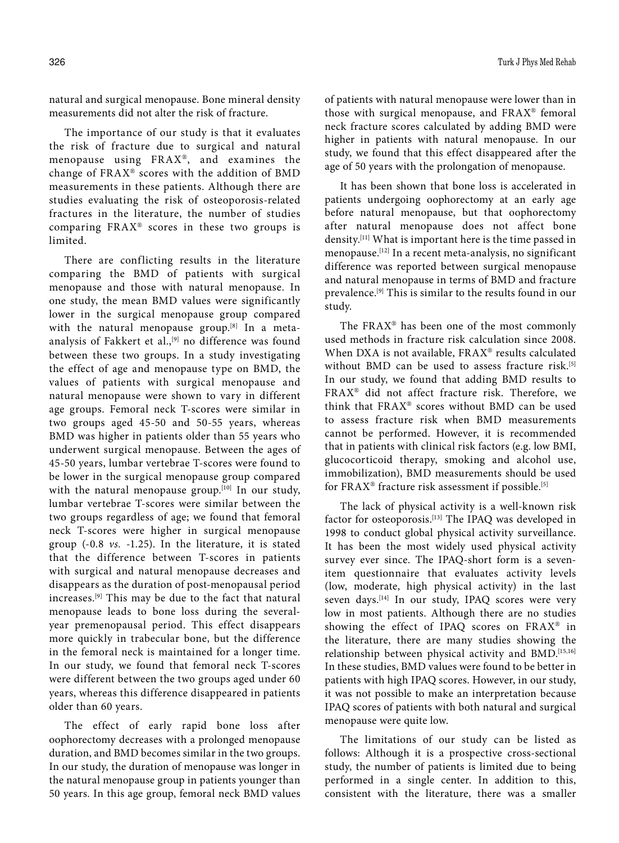natural and surgical menopause. Bone mineral density measurements did not alter the risk of fracture.

The importance of our study is that it evaluates the risk of fracture due to surgical and natural menopause using FRAX®, and examines the change of FRAX® scores with the addition of BMD measurements in these patients. Although there are studies evaluating the risk of osteoporosis-related fractures in the literature, the number of studies comparing FRAX® scores in these two groups is limited.

There are conflicting results in the literature comparing the BMD of patients with surgical menopause and those with natural menopause. In one study, the mean BMD values were significantly lower in the surgical menopause group compared with the natural menopause group.<sup>[8]</sup> In a metaanalysis of Fakkert et al.,<sup>[9]</sup> no difference was found between these two groups. In a study investigating the effect of age and menopause type on BMD, the values of patients with surgical menopause and natural menopause were shown to vary in different age groups. Femoral neck T-scores were similar in two groups aged 45-50 and 50-55 years, whereas BMD was higher in patients older than 55 years who underwent surgical menopause. Between the ages of 45-50 years, lumbar vertebrae T-scores were found to be lower in the surgical menopause group compared with the natural menopause group.<sup>[10]</sup> In our study, lumbar vertebrae T-scores were similar between the two groups regardless of age; we found that femoral neck T-scores were higher in surgical menopause group (-0.8 *vs.* -1.25). In the literature, it is stated that the difference between T-scores in patients with surgical and natural menopause decreases and disappears as the duration of post-menopausal period increases.[9] This may be due to the fact that natural menopause leads to bone loss during the severalyear premenopausal period. This effect disappears more quickly in trabecular bone, but the difference in the femoral neck is maintained for a longer time. In our study, we found that femoral neck T-scores were different between the two groups aged under 60 years, whereas this difference disappeared in patients older than 60 years.

The effect of early rapid bone loss after oophorectomy decreases with a prolonged menopause duration, and BMD becomes similar in the two groups. In our study, the duration of menopause was longer in the natural menopause group in patients younger than 50 years. In this age group, femoral neck BMD values of patients with natural menopause were lower than in those with surgical menopause, and FRAX® femoral neck fracture scores calculated by adding BMD were higher in patients with natural menopause. In our study, we found that this effect disappeared after the age of 50 years with the prolongation of menopause.

It has been shown that bone loss is accelerated in patients undergoing oophorectomy at an early age before natural menopause, but that oophorectomy after natural menopause does not affect bone density.[11] What is important here is the time passed in menopause.[12] In a recent meta-analysis, no significant difference was reported between surgical menopause and natural menopause in terms of BMD and fracture prevalence.[9] This is similar to the results found in our study.

The FRAX® has been one of the most commonly used methods in fracture risk calculation since 2008. When DXA is not available, FRAX® results calculated without BMD can be used to assess fracture risk.<sup>[5]</sup> In our study, we found that adding BMD results to FRAX® did not affect fracture risk. Therefore, we think that FRAX® scores without BMD can be used to assess fracture risk when BMD measurements cannot be performed. However, it is recommended that in patients with clinical risk factors (e.g. low BMI, glucocorticoid therapy, smoking and alcohol use, immobilization), BMD measurements should be used for FRAX® fracture risk assessment if possible.[5]

The lack of physical activity is a well-known risk factor for osteoporosis.[13] The IPAQ was developed in 1998 to conduct global physical activity surveillance. It has been the most widely used physical activity survey ever since. The IPAQ-short form is a sevenitem questionnaire that evaluates activity levels (low, moderate, high physical activity) in the last seven days.<sup>[14]</sup> In our study, IPAQ scores were very low in most patients. Although there are no studies showing the effect of IPAQ scores on FRAX® in the literature, there are many studies showing the relationship between physical activity and BMD.[15,16] In these studies, BMD values were found to be better in patients with high IPAQ scores. However, in our study, it was not possible to make an interpretation because IPAQ scores of patients with both natural and surgical menopause were quite low.

The limitations of our study can be listed as follows: Although it is a prospective cross-sectional study, the number of patients is limited due to being performed in a single center. In addition to this, consistent with the literature, there was a smaller